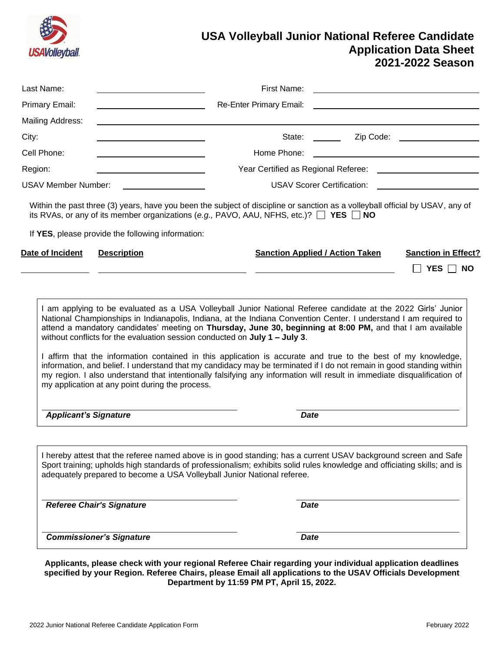

# **USA Volleyball Junior National Referee Candidate Application Data Sheet 2021-2022 Season**

| Last Name:                 |                                                                                                                                                       | First Name:             |                                                                                                                                                                                                                                                                                                                                                                                                                                                                                                                                                                                                                                                                                                                     |  |
|----------------------------|-------------------------------------------------------------------------------------------------------------------------------------------------------|-------------------------|---------------------------------------------------------------------------------------------------------------------------------------------------------------------------------------------------------------------------------------------------------------------------------------------------------------------------------------------------------------------------------------------------------------------------------------------------------------------------------------------------------------------------------------------------------------------------------------------------------------------------------------------------------------------------------------------------------------------|--|
| <b>Primary Email:</b>      |                                                                                                                                                       | Re-Enter Primary Email: |                                                                                                                                                                                                                                                                                                                                                                                                                                                                                                                                                                                                                                                                                                                     |  |
| Mailing Address:           |                                                                                                                                                       |                         |                                                                                                                                                                                                                                                                                                                                                                                                                                                                                                                                                                                                                                                                                                                     |  |
| City:                      |                                                                                                                                                       | State:                  | Zip Code: The Code of the Code of the Code of the Code of the Code of the Code of the Code of the Code of the Code of the Code of the Code of the Code of the Code of the Code of the Code of the Code of the Code of the Code<br>and the state                                                                                                                                                                                                                                                                                                                                                                                                                                                                     |  |
| Cell Phone:                |                                                                                                                                                       | Home Phone:             |                                                                                                                                                                                                                                                                                                                                                                                                                                                                                                                                                                                                                                                                                                                     |  |
| Region:                    |                                                                                                                                                       |                         |                                                                                                                                                                                                                                                                                                                                                                                                                                                                                                                                                                                                                                                                                                                     |  |
| <b>USAV Member Number:</b> |                                                                                                                                                       |                         | <b>USAV Scorer Certification:</b>                                                                                                                                                                                                                                                                                                                                                                                                                                                                                                                                                                                                                                                                                   |  |
|                            | its RVAs, or any of its member organizations (e.g., PAVO, AAU, NFHS, etc.)? $\Box$ YES $\Box$ NO<br>If YES, please provide the following information: |                         | Within the past three (3) years, have you been the subject of discipline or sanction as a volleyball official by USAV, any of                                                                                                                                                                                                                                                                                                                                                                                                                                                                                                                                                                                       |  |
| Date of Incident           | <b>Description</b>                                                                                                                                    |                         | <b>Sanction Applied / Action Taken</b><br><b>Sanction in Effect?</b><br>$\Box$ YES $\Box$ NO                                                                                                                                                                                                                                                                                                                                                                                                                                                                                                                                                                                                                        |  |
|                            |                                                                                                                                                       |                         |                                                                                                                                                                                                                                                                                                                                                                                                                                                                                                                                                                                                                                                                                                                     |  |
|                            | without conflicts for the evaluation session conducted on $July 1 - July 3.$<br>my application at any point during the process.                       |                         | I am applying to be evaluated as a USA Volleyball Junior National Referee candidate at the 2022 Girls' Junior<br>National Championships in Indianapolis, Indiana, at the Indiana Convention Center. I understand I am required to<br>attend a mandatory candidates' meeting on Thursday, June 30, beginning at 8:00 PM, and that I am available<br>I affirm that the information contained in this application is accurate and true to the best of my knowledge,<br>information, and belief. I understand that my candidacy may be terminated if I do not remain in good standing within<br>my region. I also understand that intentionally falsifying any information will result in immediate disqualification of |  |

**Referee Chair's Signature Date Accord Particle Accord Particle Date Date Commissioner's Signature Date Commissioner's Signature According to the Commissioner's Signature Commissioner** 

**Applicants, please check with your regional Referee Chair regarding your individual application deadlines specified by your Region. Referee Chairs, please Email all applications to the USAV Officials Development Department by 11:59 PM PT, April 15, 2022.**